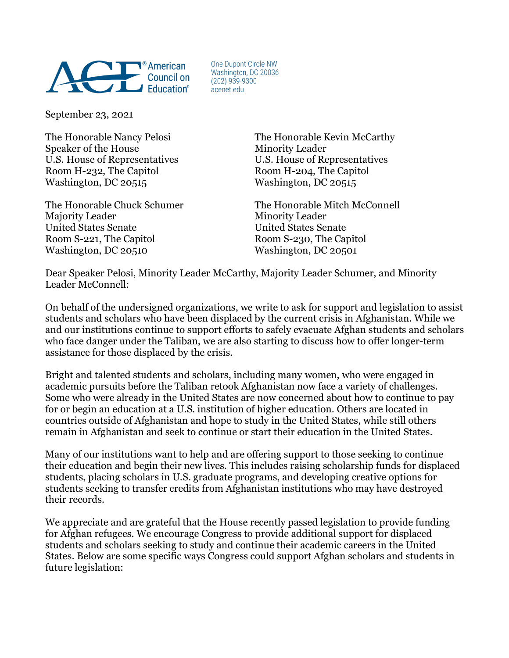

One Dupont Circle NW Washington, DC 20036  $(202)$  939-9300 acenet.edu

September 23, 2021

Speaker of the House Minority Leader U.S. House of Representatives U.S. House of Representatives Room H-232, The Capitol Room H-204, The Capitol Washington, DC 20515 Washington, DC 20515

Majority Leader Minority Leader United States Senate United States Senate Room S-221, The Capitol Room S-230, The Capitol Washington, DC 20510 Washington, DC 20501

The Honorable Nancy Pelosi **The Honorable Kevin McCarthy** 

The Honorable Chuck Schumer The Honorable Mitch McConnell

Dear Speaker Pelosi, Minority Leader McCarthy, Majority Leader Schumer, and Minority Leader McConnell:

On behalf of the undersigned organizations, we write to ask for support and legislation to assist students and scholars who have been displaced by the current crisis in Afghanistan. While we and our institutions continue to support efforts to safely evacuate Afghan students and scholars who face danger under the Taliban, we are also starting to discuss how to offer longer-term assistance for those displaced by the crisis.

Bright and talented students and scholars, including many women, who were engaged in academic pursuits before the Taliban retook Afghanistan now face a variety of challenges. Some who were already in the United States are now concerned about how to continue to pay for or begin an education at a U.S. institution of higher education. Others are located in countries outside of Afghanistan and hope to study in the United States, while still others remain in Afghanistan and seek to continue or start their education in the United States.

Many of our institutions want to help and are offering support to those seeking to continue their education and begin their new lives. This includes raising scholarship funds for displaced students, placing scholars in U.S. graduate programs, and developing creative options for students seeking to transfer credits from Afghanistan institutions who may have destroyed their records.

We appreciate and are grateful that the House recently passed legislation to provide funding for Afghan refugees. We encourage Congress to provide additional support for displaced students and scholars seeking to study and continue their academic careers in the United States. Below are some specific ways Congress could support Afghan scholars and students in future legislation: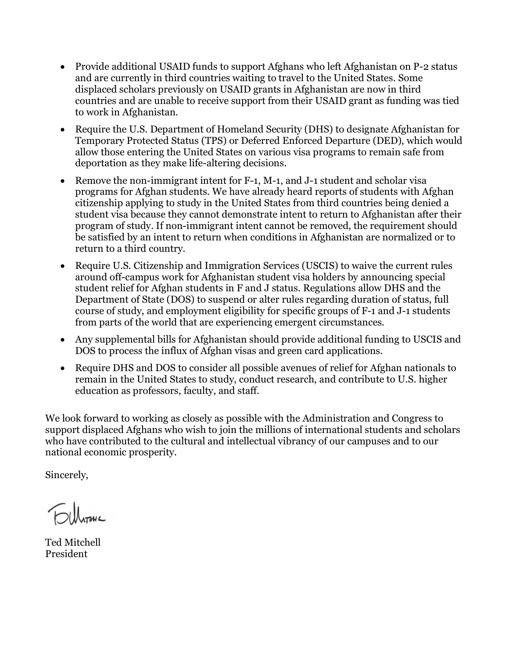- Provide additional USAID funds to support Afghans who left Afghanistan on P-2 status and are currently in third countries waiting to travel to the United States. Some displaced scholars previously on USAID grants in Afghanistan are now in third countries and are unable to receive support from their USAID grant as funding was tied to work in Afghanistan.
- Require the U.S. Department of Homeland Security (DHS) to designate Afghanistan for Temporary Protected Status (TPS) or Deferred Enforced Departure (DED), which would allow those entering the United States on various visa programs to remain safe from deportation as they make life-altering decisions.
- Remove the non-immigrant intent for F-1, M-1, and J-1 student and scholar visa programs for Afghan students. We have already heard reports of students with Afghan citizenship applying to study in the United States from third countries being denied a student visa because they cannot demonstrate intent to return to Afghanistan after their program of study. If non-immigrant intent cannot be removed, the requirement should be satisfied by an intent to return when conditions in Afghanistan are normalized or to return to a third country.
- Require U.S. Citizenship and Immigration Services (USCIS) to waive the current rules around off-campus work for Afghanistan student visa holders by announcing special student relief for Afghan students in F and J status. Regulations allow DHS and the Department of State (DOS) to suspend or alter rules regarding duration of status, full course of study, and employment eligibility for specific groups of F-1 and J-1 students from parts of the world that are experiencing emergent circumstances.
- Any supplemental bills for Afghanistan should provide additional funding to USCIS and DOS to process the influx of Afghan visas and green card applications.
- Require DHS and DOS to consider all possible avenues of relief for Afghan nationals to remain in the United States to study, conduct research, and contribute to U.S. higher education as professors, faculty, and staff.

We look forward to working as closely as possible with the Administration and Congress to support displaced Afghans who wish to join the millions of international students and scholars who have contributed to the cultural and intellectual vibrancy of our campuses and to our national economic prosperity.

Sincerely,

 $\n <sup>0</sup>$ Unture

Ted Mitchell President